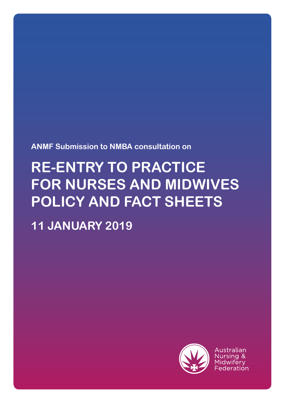**ANMF Submission to NMBA consultation on** 

# **RE-ENTRY TO PRACTICE FOR NURSES AND MIDWIVES POLICY AND FACT SHEETS**

**11 JANUARY 2019**



Australian Nursing & Midwiferv Federation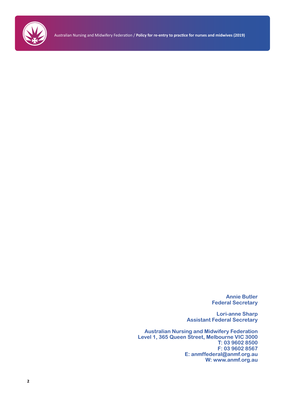

Australian Nursing and Midwifery Federation / **Policy for re-entry to practice for nurses and midwives (2019)**

**Annie Butler Federal Secretary**

**Lori-anne Sharp Assistant Federal Secretary**

**Australian Nursing and Midwifery Federation Level 1, 365 Queen Street, Melbourne VIC 3000 T: 03 9602 8500 F: 03 9602 8567 E: anmffederal@anmf.org.au W: www.anmf.org.au**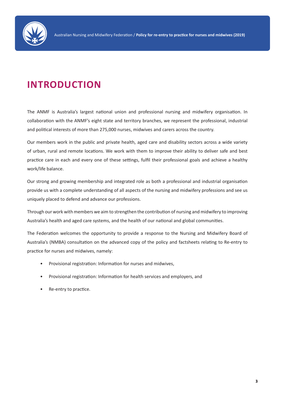

## **INTRODUCTION**

The ANMF is Australia's largest national union and professional nursing and midwifery organisation. In collaboration with the ANMF's eight state and territory branches, we represent the professional, industrial and political interests of more than 275,000 nurses, midwives and carers across the country.

Our members work in the public and private health, aged care and disability sectors across a wide variety of urban, rural and remote locations. We work with them to improve their ability to deliver safe and best practice care in each and every one of these settings, fulfil their professional goals and achieve a healthy work/life balance.

Our strong and growing membership and integrated role as both a professional and industrial organisation provide us with a complete understanding of all aspects of the nursing and midwifery professions and see us uniquely placed to defend and advance our professions.

Through our work with members we aim to strengthen the contribution of nursing and midwifery to improving Australia's health and aged care systems, and the health of our national and global communities.

The Federation welcomes the opportunity to provide a response to the Nursing and Midwifery Board of Australia's (NMBA) consultation on the advanced copy of the policy and factsheets relating to Re-entry to practice for nurses and midwives, namely:

- Provisional registration: Information for nurses and midwives,
- Provisional registration: Information for health services and employers, and
- Re-entry to practice.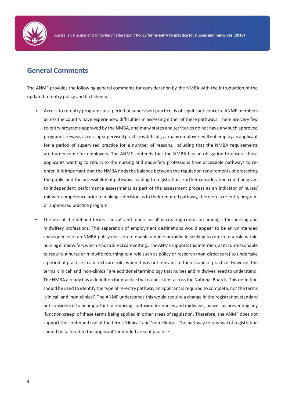

#### **General Comments**

The ANMF provides the following general comments for consideration by the NMBA with the introduction of the updated re-entry policy and fact sheets:

- Access to re-entry programs or a period of supervised practice, is of significant concern. ANMF members across the country have experienced difficulties in accessing either of these pathways. There are very few re-entry programs approved by the NMBA, and many states and territories do not have any such approved program. Likewise, accessing supervised practice is difficult, as many employers will not employ an applicant for a period of supervised practice for a number of reasons, including that the NMBA requirements are burdensome for employers. The ANMF contends that the NMBA has an obligation to ensure those applicants wanting to return to the nursing and midwifery professions have accessible pathways to reenter. It is important that the NMBA finds the balance between the regulation requirements of protecting the public and the accessibility of pathways leading to registration. Further consideration could be given to independent performance assessments as part of the assessment process as an indicator of nurse/ midwife competence prior to making a decision as to their required pathway, therefore a re-entry program or supervised practice program.
- The use of the defined terms 'clinical' and 'non-clinical' is creating confusion amongst the nursing and midwifery professions. This separation of employment destinations would appear to be an unintended consequence of an NMBA policy decision to enable a nurse or midwife seeking to return to a role within nursing or midwifery which is not a direct care setting.. The ANMF supports this intention, as it is unreasonable to require a nurse or midwife returning to a role such as policy or research (non-direct care) to undertake a period of practice in a direct care role, when this is not relevant to their scope of practice. However, the terms 'clinical' and 'non-clinical' are additional terminology that nurses and midwives need to understand. The NMBA already has a definition for practice that is consistent across the National Boards. This definition should be used to identify the type of re-entry pathway an applicant is required to complete, not the terms 'clinical' and 'non-clinical'. The ANMF understands this would require a change in the registration standard but considers it to be important in reducing confusion for nurses and midwives, as well as preventing any 'function creep' of these terms being applied in other areas of regulation. Therefore, the ANMF does not support the continued use of the terms 'clinical' and 'non-clinical'. The pathway to renewal of registration should be tailored to the applicant's intended area of practice.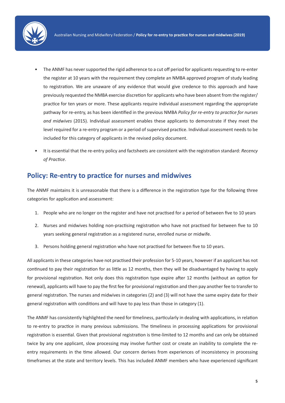

- The ANMF has never supported the rigid adherence to a cut off period for applicants requesting to re-enter the register at 10 years with the requirement they complete an NMBA approved program of study leading to registration. We are unaware of any evidence that would give credence to this approach and have previously requested the NMBA exercise discretion for applicants who have been absent from the register/ practice for ten years or more. These applicants require individual assessment regarding the appropriate pathway for re-entry, as has been identified in the previous NMBA *Policy for re-entry to practice for nurses and midwives* (2015). Individual assessment enables these applicants to demonstrate if they meet the level required for a re-entry program or a period of supervised practice. Individual assessment needs to be included for this category of applicants in the revised policy document.
- It is essential that the re-entry policy and factsheets are consistent with the registration standard: *Recency of Practice*.

#### **Policy: Re-entry to practice for nurses and midwives**

The ANMF maintains it is unreasonable that there is a difference in the registration type for the following three categories for application and assessment:

- 1. People who are no longer on the register and have not practised for a period of between five to 10 years
- 2. Nurses and midwives holding non-practising registration who have not practised for between five to 10 years seeking general registration as a registered nurse, enrolled nurse or midwife.
- 3. Persons holding general registration who have not practised for between five to 10 years.

All applicants in these categories have not practised their profession for 5-10 years, however if an applicant has not continued to pay their registration for as little as 12 months, then they will be disadvantaged by having to apply for provisional registration. Not only does this registration type expire after 12 months (without an option for renewal), applicants will have to pay the first fee for provisional registration and then pay another fee to transfer to general registration. The nurses and midwives in categories (2) and (3) will not have the same expiry date for their general registration with conditions and will have to pay less than those in category (1).

The ANMF has consistently highlighted the need for timeliness, particularly in dealing with applications, in relation to re-entry to practice in many previous submissions. The timeliness in processing applications for provisional registration is essential. Given that provisional registration is time-limited to 12 months and can only be obtained twice by any one applicant, slow processing may involve further cost or create an inability to complete the reentry requirements in the time allowed. Our concern derives from experiences of inconsistency in processing timeframes at the state and territory levels. This has included ANMF members who have experienced significant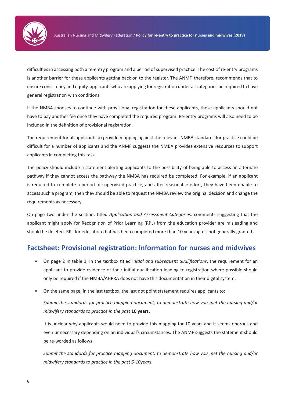

difficulties in accessing both a re-entry program and a period of supervised practice. The cost of re-entry programs is another barrier for these applicants getting back on to the register. The ANMF, therefore, recommends that to ensure consistency and equity, applicants who are applying for registration under all categories be required to have general registration with conditions.

If the NMBA chooses to continue with provisional registration for these applicants, these applicants should not have to pay another fee once they have completed the required program. Re-entry programs will also need to be included in the definition of provisional registration.

The requirement for all applicants to provide mapping against the relevant NMBA standards for practice could be difficult for a number of applicants and the ANMF suggests the NMBA provides extensive resources to support applicants in completing this task.

The policy should include a statement alerting applicants to the possibility of being able to access an alternate pathway if they cannot access the pathway the NMBA has required be completed. For example, if an applicant is required to complete a period of supervised practice, and after reasonable effort, they have been unable to access such a program, then they should be able to request the NMBA review the original decision and change the requirements as necessary.

On page two under the section, titled *Application and Assessment Categories,* comments suggesting that the applicant might apply for Recognition of Prior Learning (RPL) from the education provider are misleading and should be deleted. RPL for education that has been completed more than 10 years ago is not generally granted.

#### **Factsheet: Provisional registration: Information for nurses and midwives**

- On page 2 in table 1, in the textbox titled i*nitial and subsequent qualifications*, the requirement for an applicant to provide evidence of their initial qualification leading to registration where possible should only be required if the NMBA/AHPRA does not have this documentation in their digital system.
- On the same page, in the last textbox, the last dot point statement requires applicants to:

*Submit the standards for practice mapping document, to demonstrate how you met the nursing and/or midwifery standards to practice in the past* **10 years.**

It is unclear why applicants would need to provide this mapping for 10 years and it seems onerous and even unnecessary depending on an individual's circumstances. The ANMF suggests the statement should be re-worded as follows:

*Submit the standards for practice mapping document, to demonstrate how you met the nursing and/or midwifery standards to practice in the past 5-10years.*